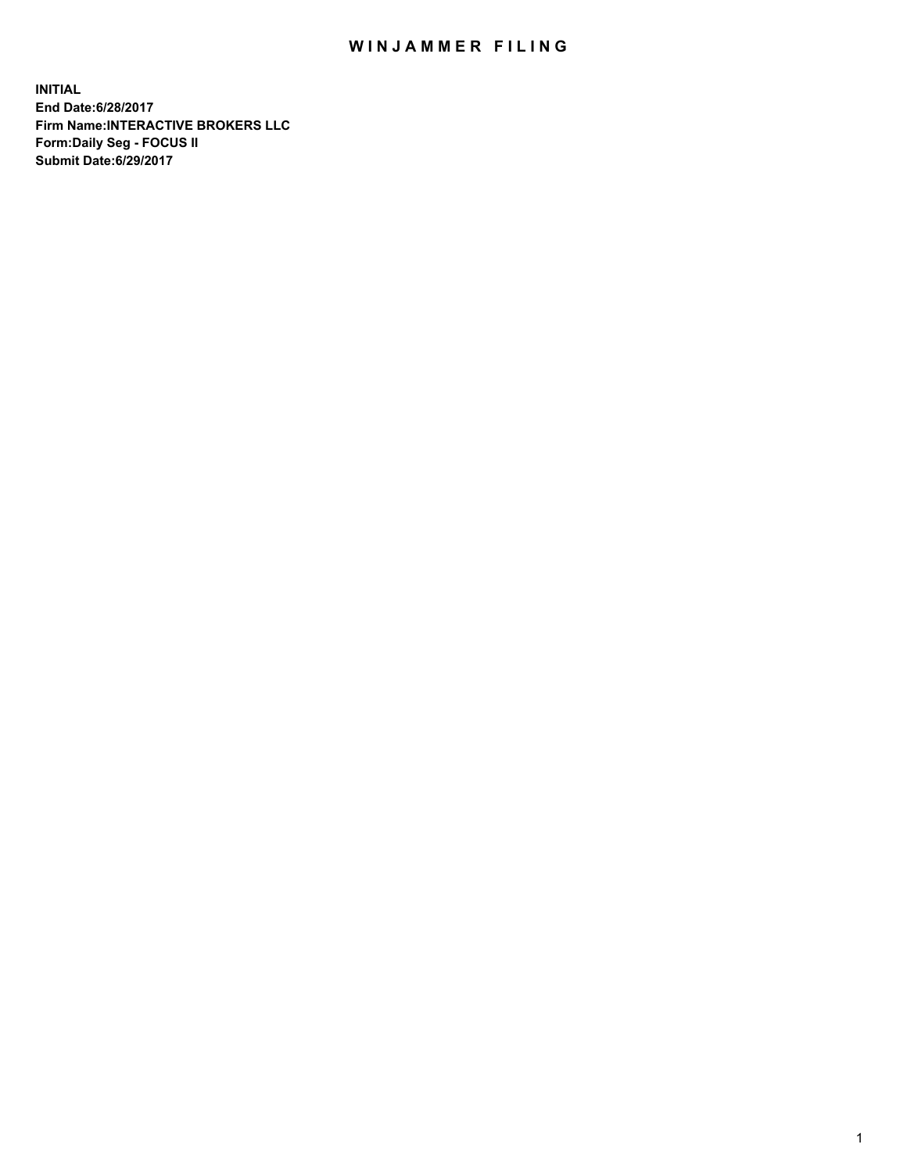## WIN JAMMER FILING

**INITIAL End Date:6/28/2017 Firm Name:INTERACTIVE BROKERS LLC Form:Daily Seg - FOCUS II Submit Date:6/29/2017**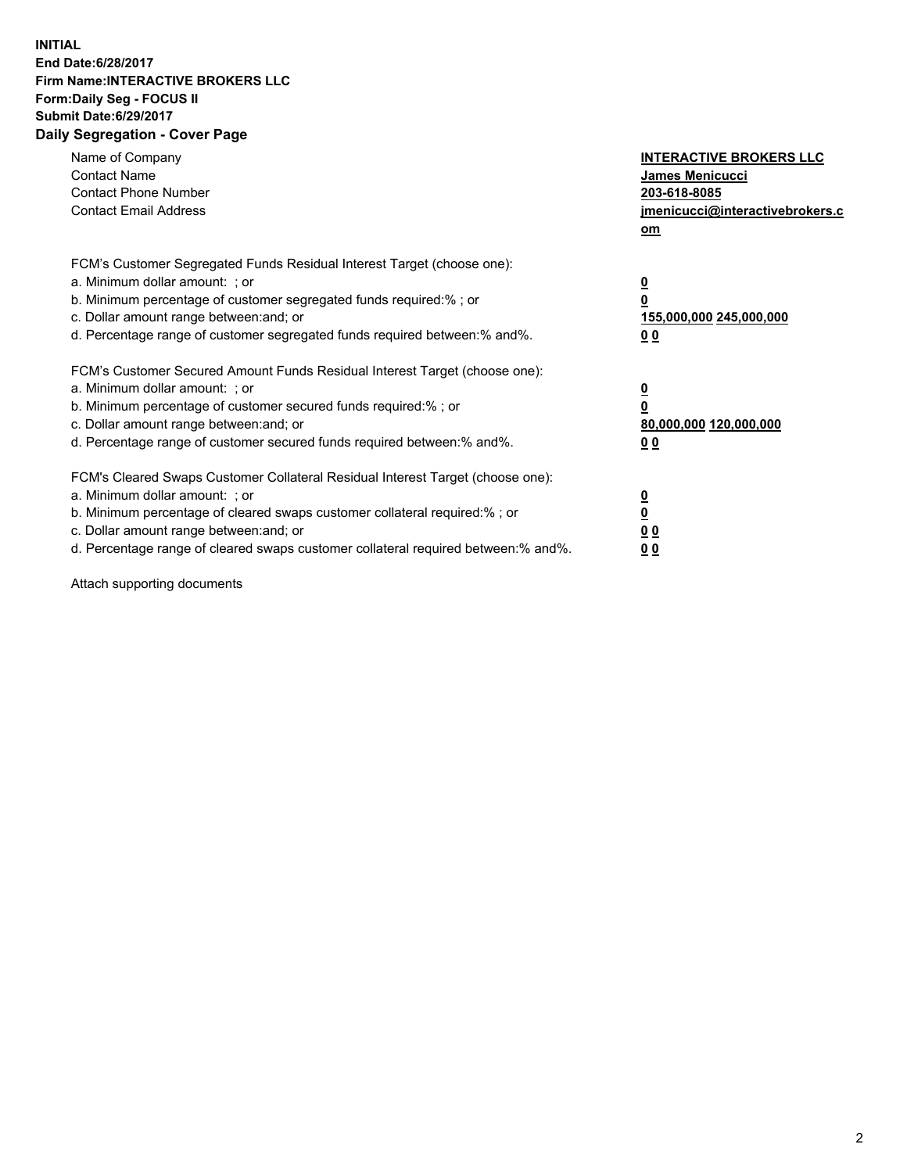## **INITIAL End Date:6/28/2017 Firm Name:INTERACTIVE BROKERS LLC Form:Daily Seg - FOCUS II Submit Date:6/29/2017 Daily Segregation - Cover Page**

| Name of Company<br><b>Contact Name</b><br><b>Contact Phone Number</b><br><b>Contact Email Address</b>                                                                                                                                                                                                                          | <b>INTERACTIVE BROKERS LLC</b><br><b>James Menicucci</b><br>203-618-8085<br>jmenicucci@interactivebrokers.c<br>om |
|--------------------------------------------------------------------------------------------------------------------------------------------------------------------------------------------------------------------------------------------------------------------------------------------------------------------------------|-------------------------------------------------------------------------------------------------------------------|
| FCM's Customer Segregated Funds Residual Interest Target (choose one):<br>a. Minimum dollar amount: ; or<br>b. Minimum percentage of customer segregated funds required:%; or<br>c. Dollar amount range between: and; or<br>d. Percentage range of customer segregated funds required between:% and%.                          | $\overline{\mathbf{0}}$<br>0<br>155,000,000 245,000,000<br>0 <sub>0</sub>                                         |
| FCM's Customer Secured Amount Funds Residual Interest Target (choose one):<br>a. Minimum dollar amount: ; or<br>b. Minimum percentage of customer secured funds required:%; or<br>c. Dollar amount range between: and; or<br>d. Percentage range of customer secured funds required between: % and %.                          | $\overline{\mathbf{0}}$<br>0<br>80,000,000 120,000,000<br>00                                                      |
| FCM's Cleared Swaps Customer Collateral Residual Interest Target (choose one):<br>a. Minimum dollar amount: ; or<br>b. Minimum percentage of cleared swaps customer collateral required:% ; or<br>c. Dollar amount range between: and; or<br>d. Percentage range of cleared swaps customer collateral required between:% and%. | $\overline{\mathbf{0}}$<br>$\overline{\mathbf{0}}$<br>0 <sub>0</sub><br><u>00</u>                                 |

Attach supporting documents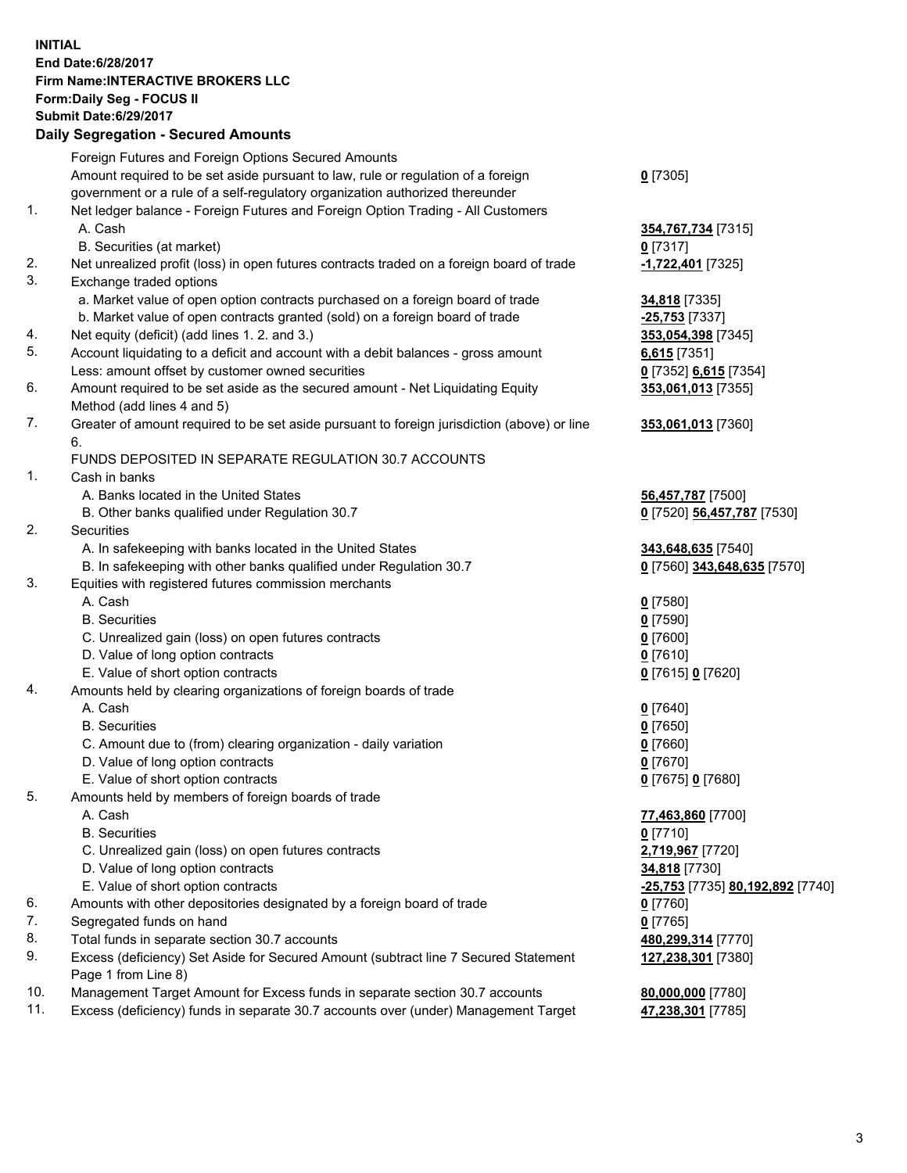## **INITIAL End Date:6/28/2017 Firm Name:INTERACTIVE BROKERS LLC Form:Daily Seg - FOCUS II Submit Date:6/29/2017 Daily Segregation - Secured Amounts**

|     | Dany Ocgregation - Oceanea Annoanta                                                                                             |                                                   |
|-----|---------------------------------------------------------------------------------------------------------------------------------|---------------------------------------------------|
|     | Foreign Futures and Foreign Options Secured Amounts                                                                             |                                                   |
|     | Amount required to be set aside pursuant to law, rule or regulation of a foreign                                                | $0$ [7305]                                        |
|     | government or a rule of a self-regulatory organization authorized thereunder                                                    |                                                   |
| 1.  | Net ledger balance - Foreign Futures and Foreign Option Trading - All Customers                                                 |                                                   |
|     | A. Cash                                                                                                                         | 354,767,734 [7315]                                |
|     | B. Securities (at market)                                                                                                       | $0$ [7317]                                        |
| 2.  | Net unrealized profit (loss) in open futures contracts traded on a foreign board of trade                                       | -1,722,401 [7325]                                 |
| 3.  | Exchange traded options                                                                                                         |                                                   |
|     | a. Market value of open option contracts purchased on a foreign board of trade                                                  | 34,818 [7335]                                     |
|     | b. Market value of open contracts granted (sold) on a foreign board of trade                                                    | -25,753 [7337]                                    |
| 4.  | Net equity (deficit) (add lines 1.2. and 3.)                                                                                    | 353,054,398 [7345]                                |
| 5.  | Account liquidating to a deficit and account with a debit balances - gross amount                                               | $6,615$ [7351]                                    |
|     | Less: amount offset by customer owned securities                                                                                | 0 [7352] 6,615 [7354]                             |
| 6.  | Amount required to be set aside as the secured amount - Net Liquidating Equity                                                  | 353,061,013 [7355]                                |
|     | Method (add lines 4 and 5)                                                                                                      |                                                   |
| 7.  | Greater of amount required to be set aside pursuant to foreign jurisdiction (above) or line                                     | 353,061,013 [7360]                                |
|     | 6.                                                                                                                              |                                                   |
|     | FUNDS DEPOSITED IN SEPARATE REGULATION 30.7 ACCOUNTS                                                                            |                                                   |
| 1.  | Cash in banks                                                                                                                   |                                                   |
|     | A. Banks located in the United States                                                                                           |                                                   |
|     |                                                                                                                                 | 56,457,787 [7500]                                 |
| 2.  | B. Other banks qualified under Regulation 30.7<br>Securities                                                                    | 0 [7520] 56,457,787 [7530]                        |
|     |                                                                                                                                 |                                                   |
|     | A. In safekeeping with banks located in the United States<br>B. In safekeeping with other banks qualified under Regulation 30.7 | 343,648,635 [7540]<br>0 [7560] 343,648,635 [7570] |
| 3.  |                                                                                                                                 |                                                   |
|     | Equities with registered futures commission merchants                                                                           |                                                   |
|     | A. Cash                                                                                                                         | $0$ [7580]                                        |
|     | <b>B.</b> Securities                                                                                                            | $0$ [7590]                                        |
|     | C. Unrealized gain (loss) on open futures contracts                                                                             | $0$ [7600]                                        |
|     | D. Value of long option contracts                                                                                               | $0$ [7610]                                        |
|     | E. Value of short option contracts                                                                                              | 0 [7615] 0 [7620]                                 |
| 4.  | Amounts held by clearing organizations of foreign boards of trade                                                               |                                                   |
|     | A. Cash                                                                                                                         | $0$ [7640]                                        |
|     | <b>B.</b> Securities                                                                                                            | $0$ [7650]                                        |
|     | C. Amount due to (from) clearing organization - daily variation                                                                 | $0$ [7660]                                        |
|     | D. Value of long option contracts                                                                                               | $0$ [7670]                                        |
|     | E. Value of short option contracts                                                                                              | 0 [7675] 0 [7680]                                 |
| 5.  | Amounts held by members of foreign boards of trade                                                                              |                                                   |
|     | A. Cash                                                                                                                         | 77,463,860 [7700]                                 |
|     | <b>B.</b> Securities                                                                                                            | $0$ [7710]                                        |
|     | C. Unrealized gain (loss) on open futures contracts                                                                             | 2,719,967 [7720]                                  |
|     | D. Value of long option contracts                                                                                               | 34,818 [7730]                                     |
|     | E. Value of short option contracts                                                                                              | -25,753 [7735] 80,192,892 [7740]                  |
| 6.  | Amounts with other depositories designated by a foreign board of trade                                                          | 0 [7760]                                          |
| 7.  | Segregated funds on hand                                                                                                        | $0$ [7765]                                        |
| 8.  | Total funds in separate section 30.7 accounts                                                                                   | 480,299,314 [7770]                                |
| 9.  | Excess (deficiency) Set Aside for Secured Amount (subtract line 7 Secured Statement                                             | 127,238,301 [7380]                                |
|     | Page 1 from Line 8)                                                                                                             |                                                   |
| 10. | Management Target Amount for Excess funds in separate section 30.7 accounts                                                     | 80,000,000 [7780]                                 |
| 11. | Excess (deficiency) funds in separate 30.7 accounts over (under) Management Target                                              | 47,238,301 [7785]                                 |
|     |                                                                                                                                 |                                                   |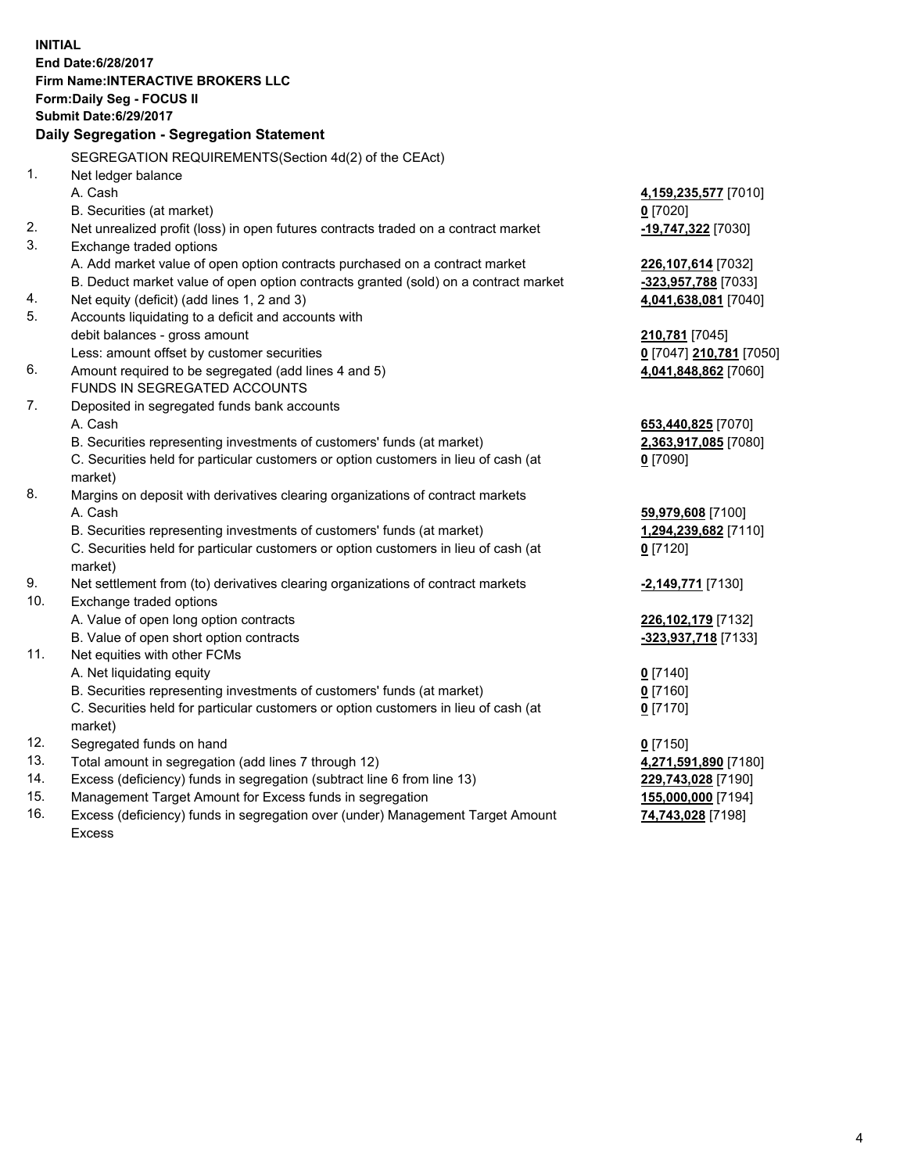**INITIAL End Date:6/28/2017 Firm Name:INTERACTIVE BROKERS LLC Form:Daily Seg - FOCUS II Submit Date:6/29/2017 Daily Segregation - Segregation Statement** SEGREGATION REQUIREMENTS(Section 4d(2) of the CEAct) 1. Net ledger balance A. Cash **4,159,235,577** [7010] B. Securities (at market) **0** [7020] 2. Net unrealized profit (loss) in open futures contracts traded on a contract market **-19,747,322** [7030] 3. Exchange traded options A. Add market value of open option contracts purchased on a contract market **226,107,614** [7032] B. Deduct market value of open option contracts granted (sold) on a contract market **-323,957,788** [7033] 4. Net equity (deficit) (add lines 1, 2 and 3) **4,041,638,081** [7040] 5. Accounts liquidating to a deficit and accounts with debit balances - gross amount **210,781** [7045] Less: amount offset by customer securities **0** [7047] **210,781** [7050] 6. Amount required to be segregated (add lines 4 and 5) **4,041,848,862** [7060] FUNDS IN SEGREGATED ACCOUNTS 7. Deposited in segregated funds bank accounts A. Cash **653,440,825** [7070] B. Securities representing investments of customers' funds (at market) **2,363,917,085** [7080] C. Securities held for particular customers or option customers in lieu of cash (at market) **0** [7090] 8. Margins on deposit with derivatives clearing organizations of contract markets A. Cash **59,979,608** [7100] B. Securities representing investments of customers' funds (at market) **1,294,239,682** [7110] C. Securities held for particular customers or option customers in lieu of cash (at market) **0** [7120] 9. Net settlement from (to) derivatives clearing organizations of contract markets **-2,149,771** [7130] 10. Exchange traded options A. Value of open long option contracts **226,102,179** [7132] B. Value of open short option contracts **-323,937,718** [7133] 11. Net equities with other FCMs A. Net liquidating equity **0** [7140] B. Securities representing investments of customers' funds (at market) **0** [7160] C. Securities held for particular customers or option customers in lieu of cash (at market) **0** [7170] 12. Segregated funds on hand **0** [7150] 13. Total amount in segregation (add lines 7 through 12) **4,271,591,890** [7180] 14. Excess (deficiency) funds in segregation (subtract line 6 from line 13) **229,743,028** [7190] 15. Management Target Amount for Excess funds in segregation **155,000,000** [7194]

16. Excess (deficiency) funds in segregation over (under) Management Target Amount Excess

**74,743,028** [7198]